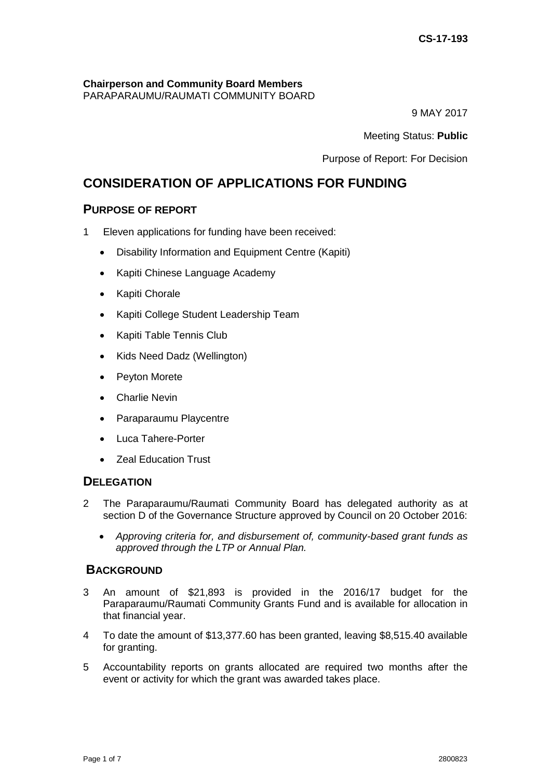**Chairperson and Community Board Members** PARAPARAUMU/RAUMATI COMMUNITY BOARD

9 MAY 2017

Meeting Status: **Public**

Purpose of Report: For Decision

# **CONSIDERATION OF APPLICATIONS FOR FUNDING**

# **PURPOSE OF REPORT**

- 1 Eleven applications for funding have been received:
	- Disability Information and Equipment Centre (Kapiti)
	- Kapiti Chinese Language Academy
	- Kapiti Chorale
	- Kapiti College Student Leadership Team
	- Kapiti Table Tennis Club
	- Kids Need Dadz (Wellington)
	- Peyton Morete
	- Charlie Nevin
	- Paraparaumu Playcentre
	- Luca Tahere-Porter
	- Zeal Education Trust

# **DELEGATION**

- 2 The Paraparaumu/Raumati Community Board has delegated authority as at section D of the Governance Structure approved by Council on 20 October 2016:
	- *Approving criteria for, and disbursement of, community-based grant funds as approved through the LTP or Annual Plan.*

# **BACKGROUND**

- 3 An amount of \$21,893 is provided in the 2016/17 budget for the Paraparaumu/Raumati Community Grants Fund and is available for allocation in that financial year.
- 4 To date the amount of \$13,377.60 has been granted, leaving \$8,515.40 available for granting.
- 5 Accountability reports on grants allocated are required two months after the event or activity for which the grant was awarded takes place.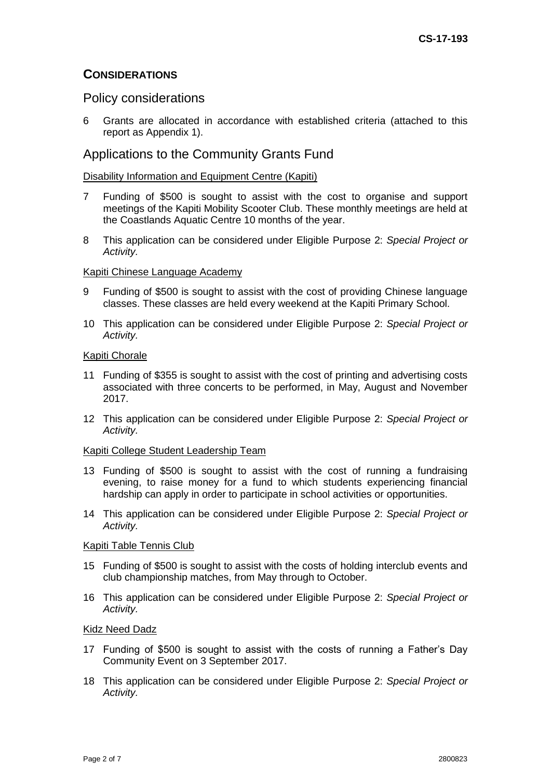# **CONSIDERATIONS**

# Policy considerations

6 Grants are allocated in accordance with established criteria (attached to this report as Appendix 1).

# Applications to the Community Grants Fund

#### Disability Information and Equipment Centre (Kapiti)

- 7 Funding of \$500 is sought to assist with the cost to organise and support meetings of the Kapiti Mobility Scooter Club. These monthly meetings are held at the Coastlands Aquatic Centre 10 months of the year.
- 8 This application can be considered under Eligible Purpose 2: *Special Project or Activity.*

#### Kapiti Chinese Language Academy

- 9 Funding of \$500 is sought to assist with the cost of providing Chinese language classes. These classes are held every weekend at the Kapiti Primary School.
- 10 This application can be considered under Eligible Purpose 2: *Special Project or Activity.*

#### Kapiti Chorale

- 11 Funding of \$355 is sought to assist with the cost of printing and advertising costs associated with three concerts to be performed, in May, August and November 2017.
- 12 This application can be considered under Eligible Purpose 2: *Special Project or Activity.*

### Kapiti College Student Leadership Team

- 13 Funding of \$500 is sought to assist with the cost of running a fundraising evening, to raise money for a fund to which students experiencing financial hardship can apply in order to participate in school activities or opportunities.
- 14 This application can be considered under Eligible Purpose 2: *Special Project or Activity.*

#### Kapiti Table Tennis Club

- 15 Funding of \$500 is sought to assist with the costs of holding interclub events and club championship matches, from May through to October.
- 16 This application can be considered under Eligible Purpose 2: *Special Project or Activity.*

#### Kidz Need Dadz

- 17 Funding of \$500 is sought to assist with the costs of running a Father's Day Community Event on 3 September 2017.
- 18 This application can be considered under Eligible Purpose 2: *Special Project or Activity.*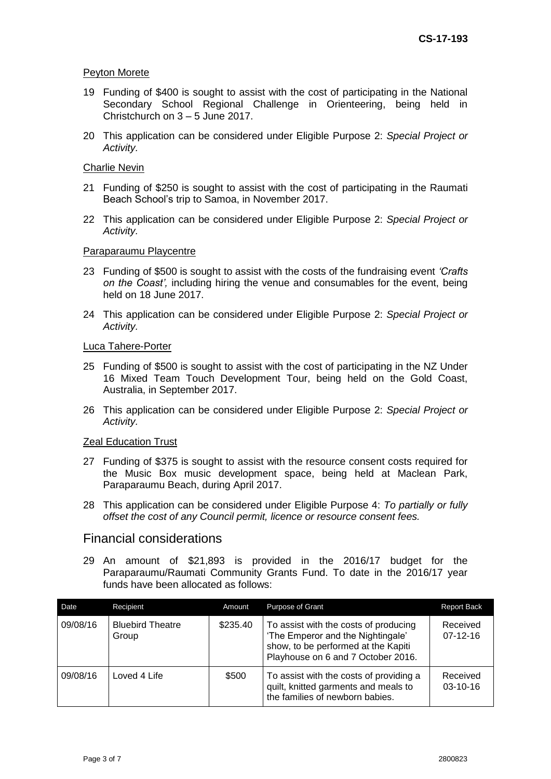### Peyton Morete

- 19 Funding of \$400 is sought to assist with the cost of participating in the National Secondary School Regional Challenge in Orienteering, being held in Christchurch on 3 – 5 June 2017.
- 20 This application can be considered under Eligible Purpose 2: *Special Project or Activity.*

### Charlie Nevin

- 21 Funding of \$250 is sought to assist with the cost of participating in the Raumati Beach School's trip to Samoa, in November 2017.
- 22 This application can be considered under Eligible Purpose 2: *Special Project or Activity.*

### Paraparaumu Playcentre

- 23 Funding of \$500 is sought to assist with the costs of the fundraising event *'Crafts on the Coast',* including hiring the venue and consumables for the event, being held on 18 June 2017.
- 24 This application can be considered under Eligible Purpose 2: *Special Project or Activity.*

#### Luca Tahere-Porter

- 25 Funding of \$500 is sought to assist with the cost of participating in the NZ Under 16 Mixed Team Touch Development Tour, being held on the Gold Coast, Australia, in September 2017.
- 26 This application can be considered under Eligible Purpose 2: *Special Project or Activity.*

#### Zeal Education Trust

- 27 Funding of \$375 is sought to assist with the resource consent costs required for the Music Box music development space, being held at Maclean Park, Paraparaumu Beach, during April 2017.
- 28 This application can be considered under Eligible Purpose 4: *To partially or fully offset the cost of any Council permit, licence or resource consent fees.*

# Financial considerations

29 An amount of \$21,893 is provided in the 2016/17 budget for the Paraparaumu/Raumati Community Grants Fund. To date in the 2016/17 year funds have been allocated as follows:

| Date     | Recipient                        | Amount   | <b>Purpose of Grant</b>                                                                                                                                 | <b>Report Back</b>         |
|----------|----------------------------------|----------|---------------------------------------------------------------------------------------------------------------------------------------------------------|----------------------------|
| 09/08/16 | <b>Bluebird Theatre</b><br>Group | \$235.40 | To assist with the costs of producing<br>'The Emperor and the Nightingale'<br>show, to be performed at the Kapiti<br>Playhouse on 6 and 7 October 2016. | Received<br>$07-12-16$     |
| 09/08/16 | Loved 4 Life                     | \$500    | To assist with the costs of providing a<br>quilt, knitted garments and meals to<br>the families of newborn babies.                                      | Received<br>$03 - 10 - 16$ |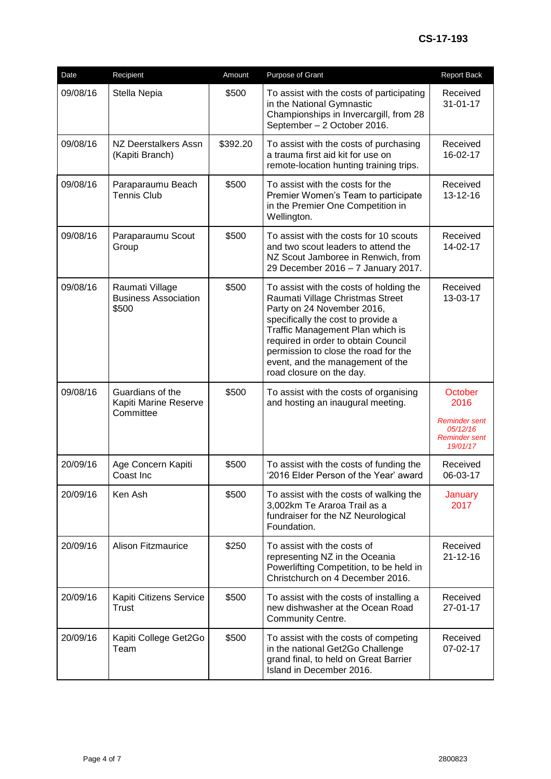| Date     | Recipient                                               | Amount   | Purpose of Grant                                                                                                                                                                                                                                                                                                                   | Report Back                                                                             |
|----------|---------------------------------------------------------|----------|------------------------------------------------------------------------------------------------------------------------------------------------------------------------------------------------------------------------------------------------------------------------------------------------------------------------------------|-----------------------------------------------------------------------------------------|
| 09/08/16 | Stella Nepia                                            | \$500    | To assist with the costs of participating<br>in the National Gymnastic<br>Championships in Invercargill, from 28<br>September - 2 October 2016.                                                                                                                                                                                    | Received<br>$31 - 01 - 17$                                                              |
| 09/08/16 | NZ Deerstalkers Assn<br>(Kapiti Branch)                 | \$392.20 | To assist with the costs of purchasing<br>a trauma first aid kit for use on<br>remote-location hunting training trips.                                                                                                                                                                                                             | Received<br>16-02-17                                                                    |
| 09/08/16 | Paraparaumu Beach<br><b>Tennis Club</b>                 | \$500    | To assist with the costs for the<br>Received<br>Premier Women's Team to participate<br>13-12-16<br>in the Premier One Competition in<br>Wellington.                                                                                                                                                                                |                                                                                         |
| 09/08/16 | Paraparaumu Scout<br>Group                              | \$500    | To assist with the costs for 10 scouts<br>and two scout leaders to attend the<br>NZ Scout Jamboree in Renwich, from<br>29 December 2016 - 7 January 2017.                                                                                                                                                                          | Received<br>14-02-17                                                                    |
| 09/08/16 | Raumati Village<br><b>Business Association</b><br>\$500 | \$500    | To assist with the costs of holding the<br>Raumati Village Christmas Street<br>Party on 24 November 2016,<br>specifically the cost to provide a<br>Traffic Management Plan which is<br>required in order to obtain Council<br>permission to close the road for the<br>event, and the management of the<br>road closure on the day. | Received<br>13-03-17                                                                    |
| 09/08/16 | Guardians of the<br>Kapiti Marine Reserve<br>Committee  | \$500    | To assist with the costs of organising<br>and hosting an inaugural meeting.                                                                                                                                                                                                                                                        | October<br>2016<br><b>Reminder sent</b><br>05/12/16<br><b>Reminder sent</b><br>19/01/17 |
| 20/09/16 | Age Concern Kapiti<br>Coast Inc                         | \$500    | To assist with the costs of funding the<br>'2016 Elder Person of the Year' award                                                                                                                                                                                                                                                   | Received<br>06-03-17                                                                    |
| 20/09/16 | Ken Ash                                                 | \$500    | To assist with the costs of walking the<br>January<br>3,002km Te Araroa Trail as a<br>2017<br>fundraiser for the NZ Neurological<br>Foundation.                                                                                                                                                                                    |                                                                                         |
| 20/09/16 | <b>Alison Fitzmaurice</b>                               | \$250    | To assist with the costs of<br>Received<br>$21 - 12 - 16$<br>representing NZ in the Oceania<br>Powerlifting Competition, to be held in<br>Christchurch on 4 December 2016.                                                                                                                                                         |                                                                                         |
| 20/09/16 | Kapiti Citizens Service<br>Trust                        | \$500    | To assist with the costs of installing a<br>Received<br>new dishwasher at the Ocean Road<br>27-01-17<br>Community Centre.                                                                                                                                                                                                          |                                                                                         |
| 20/09/16 | Kapiti College Get2Go<br>Team                           | \$500    | To assist with the costs of competing<br>in the national Get2Go Challenge<br>grand final, to held on Great Barrier<br>Island in December 2016.                                                                                                                                                                                     | Received<br>07-02-17                                                                    |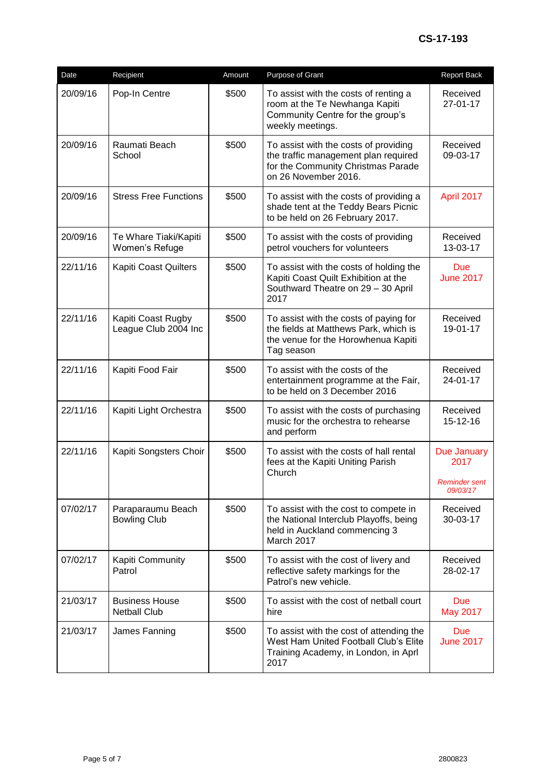| Date     | Recipient                                    | Amount | Purpose of Grant                                                                                                                                                    | Report Back                                             |
|----------|----------------------------------------------|--------|---------------------------------------------------------------------------------------------------------------------------------------------------------------------|---------------------------------------------------------|
| 20/09/16 | Pop-In Centre                                | \$500  | To assist with the costs of renting a<br>room at the Te Newhanga Kapiti<br>Community Centre for the group's<br>weekly meetings.                                     | Received<br>$27 - 01 - 17$                              |
| 20/09/16 | Raumati Beach<br>School                      | \$500  | To assist with the costs of providing<br>the traffic management plan required<br>for the Community Christmas Parade<br>on 26 November 2016.                         | Received<br>09-03-17                                    |
| 20/09/16 | <b>Stress Free Functions</b>                 | \$500  | To assist with the costs of providing a<br>shade tent at the Teddy Bears Picnic<br>to be held on 26 February 2017.                                                  | April 2017                                              |
| 20/09/16 | Te Whare Tiaki/Kapiti<br>Women's Refuge      | \$500  | To assist with the costs of providing<br>Received<br>petrol vouchers for volunteers<br>13-03-17                                                                     |                                                         |
| 22/11/16 | <b>Kapiti Coast Quilters</b>                 | \$500  | To assist with the costs of holding the<br><b>Due</b><br>Kapiti Coast Quilt Exhibition at the<br><b>June 2017</b><br>Southward Theatre on 29 - 30 April<br>2017     |                                                         |
| 22/11/16 | Kapiti Coast Rugby<br>League Club 2004 Inc   | \$500  | To assist with the costs of paying for<br>the fields at Matthews Park, which is<br>the venue for the Horowhenua Kapiti<br>Tag season                                | Received<br>19-01-17                                    |
| 22/11/16 | Kapiti Food Fair                             | \$500  | To assist with the costs of the<br>entertainment programme at the Fair,<br>to be held on 3 December 2016                                                            | Received<br>24-01-17                                    |
| 22/11/16 | Kapiti Light Orchestra                       | \$500  | To assist with the costs of purchasing<br>music for the orchestra to rehearse<br>and perform                                                                        | Received<br>15-12-16                                    |
| 22/11/16 | Kapiti Songsters Choir                       | \$500  | To assist with the costs of hall rental<br>fees at the Kapiti Uniting Parish<br>Church                                                                              | Due January<br>2017<br><b>Reminder sent</b><br>09/03/17 |
| 07/02/17 | Paraparaumu Beach<br><b>Bowling Club</b>     | \$500  | To assist with the cost to compete in<br>the National Interclub Playoffs, being<br>held in Auckland commencing 3<br>March 2017                                      | Received<br>30-03-17                                    |
| 07/02/17 | Kapiti Community<br>Patrol                   | \$500  | To assist with the cost of livery and<br>reflective safety markings for the<br>Patrol's new vehicle.                                                                | Received<br>28-02-17                                    |
| 21/03/17 | <b>Business House</b><br><b>Netball Club</b> | \$500  | To assist with the cost of netball court<br>hire                                                                                                                    | <b>Due</b><br><b>May 2017</b>                           |
| 21/03/17 | James Fanning                                | \$500  | To assist with the cost of attending the<br><b>Due</b><br>West Ham United Football Club's Elite<br><b>June 2017</b><br>Training Academy, in London, in Aprl<br>2017 |                                                         |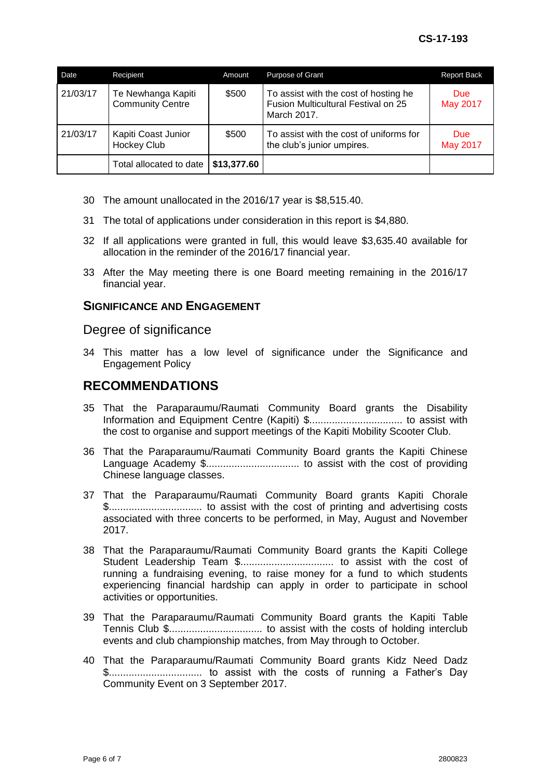| Date     | Recipient                                     | Amount      | <b>Purpose of Grant</b>                                                                     | <b>Report Back</b>            |
|----------|-----------------------------------------------|-------------|---------------------------------------------------------------------------------------------|-------------------------------|
| 21/03/17 | Te Newhanga Kapiti<br><b>Community Centre</b> | \$500       | To assist with the cost of hosting he<br>Fusion Multicultural Festival on 25<br>March 2017. | <b>Due</b><br><b>May 2017</b> |
| 21/03/17 | Kapiti Coast Junior<br><b>Hockey Club</b>     | \$500       | To assist with the cost of uniforms for<br>the club's junior umpires.                       | Due<br><b>May 2017</b>        |
|          | Total allocated to date                       | \$13,377.60 |                                                                                             |                               |

- 30 The amount unallocated in the 2016/17 year is \$8,515.40.
- 31 The total of applications under consideration in this report is \$4,880.
- 32 If all applications were granted in full, this would leave \$3,635.40 available for allocation in the reminder of the 2016/17 financial year.
- 33 After the May meeting there is one Board meeting remaining in the 2016/17 financial year.

# **SIGNIFICANCE AND ENGAGEMENT**

# Degree of significance

34 This matter has a low level of significance under the Significance and Engagement Policy

# **RECOMMENDATIONS**

- 35 That the Paraparaumu/Raumati Community Board grants the Disability Information and Equipment Centre (Kapiti) \$................................. to assist with the cost to organise and support meetings of the Kapiti Mobility Scooter Club.
- 36 That the Paraparaumu/Raumati Community Board grants the Kapiti Chinese Language Academy \$................................. to assist with the cost of providing Chinese language classes.
- 37 That the Paraparaumu/Raumati Community Board grants Kapiti Chorale \$................................. to assist with the cost of printing and advertising costs associated with three concerts to be performed, in May, August and November 2017.
- 38 That the Paraparaumu/Raumati Community Board grants the Kapiti College Student Leadership Team \$................................. to assist with the cost of running a fundraising evening, to raise money for a fund to which students experiencing financial hardship can apply in order to participate in school activities or opportunities.
- 39 That the Paraparaumu/Raumati Community Board grants the Kapiti Table Tennis Club \$................................. to assist with the costs of holding interclub events and club championship matches, from May through to October.
- 40 That the Paraparaumu/Raumati Community Board grants Kidz Need Dadz \$................................. to assist with the costs of running a Father's Day Community Event on 3 September 2017.